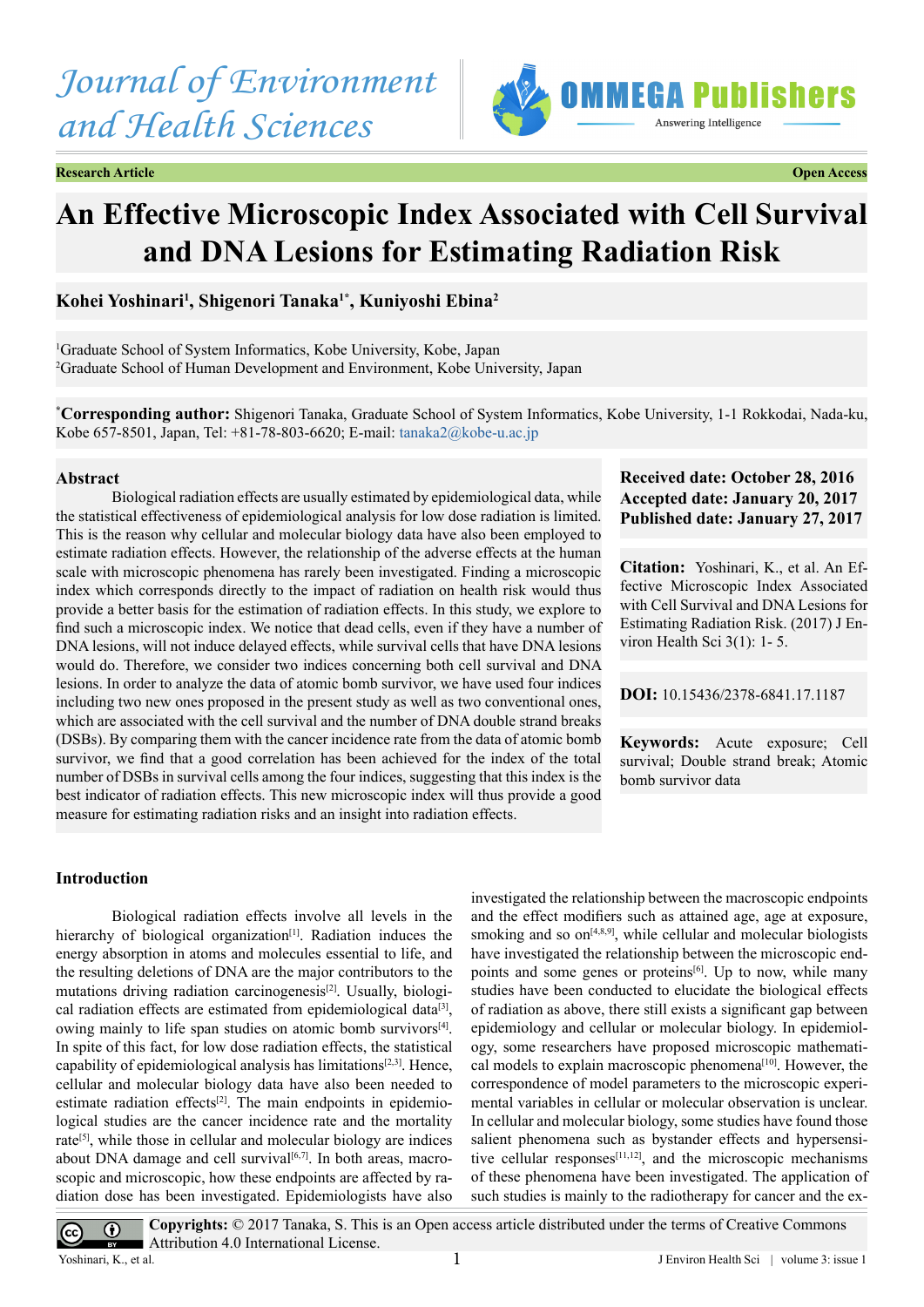# *Journal of Environment and Health Sciences*



**Research Article Open Access**



# **An Effective Microscopic Index Associated with Cell Survival and DNA Lesions for Estimating Radiation Risk**

# **Kohei Yoshinari1 , Shigenori Tanaka1\*, Kuniyoshi Ebina2**

1 Graduate School of System Informatics, Kobe University, Kobe, Japan 2 Graduate School of Human Development and Environment, Kobe University, Japan

**\* Corresponding author:** Shigenori Tanaka, Graduate School of System Informatics, Kobe University, 1-1 Rokkodai, Nada-ku, Kobe 657-8501, Japan, Tel: +81-78-803-6620; E-mail: [tanaka2@kobe-u.ac.jp](mailto:tanaka2@kobe-u.ac.jp)

#### **Abstract**

Biological radiation effects are usually estimated by epidemiological data, while the statistical effectiveness of epidemiological analysis for low dose radiation is limited. This is the reason why cellular and molecular biology data have also been employed to estimate radiation effects. However, the relationship of the adverse effects at the human scale with microscopic phenomena has rarely been investigated. Finding a microscopic index which corresponds directly to the impact of radiation on health risk would thus provide a better basis for the estimation of radiation effects. In this study, we explore to find such a microscopic index. We notice that dead cells, even if they have a number of DNA lesions, will not induce delayed effects, while survival cells that have DNA lesions would do. Therefore, we consider two indices concerning both cell survival and DNA lesions. In order to analyze the data of atomic bomb survivor, we have used four indices including two new ones proposed in the present study as well as two conventional ones, which are associated with the cell survival and the number of DNA double strand breaks (DSBs). By comparing them with the cancer incidence rate from the data of atomic bomb survivor, we find that a good correlation has been achieved for the index of the total number of DSBs in survival cells among the four indices, suggesting that this index is the best indicator of radiation effects. This new microscopic index will thus provide a good measure for estimating radiation risks and an insight into radiation effects.

# **Received date: October 28, 2016 Accepted date: January 20, 2017 Published date: January 27, 2017**

**Citation:** Yoshinari, K., et al. An Effective Microscopic Index Associated with Cell Survival and DNA Lesions for Estimating Radiation Risk. (2017) J Environ Health Sci 3(1): 1- 5.

**DOI:** [10.15436/2378-6841.17.](http://www.dx.doi.org/10.15436/2378-6841.17.1187
)1187

**Keywords:** Acute exposure; Cell survival; Double strand break; Atomic bomb survivor data

# **Introduction**

Biological radiation effects involve all levels in the hierarchy of biological organization<sup>[1]</sup>. Radiation induces the energy absorption in atoms and molecules essential to life, and the resulting deletions of DNA are the major contributors to the mutations driving radiation carcinogenesis<sup>[2]</sup>. Usually, biological radiation effects are estimated from epidemiological data<sup>[3]</sup>, owing mainly to life span studies on atomic bomb survivors $[4]$ . In spite of this fact, for low dose radiation effects, the statistical capability of epidemiological analysis has limitations $[2,3]$ . Hence, cellular and molecular biology data have also been needed to estimate radiation effects<sup>[2]</sup>. The main endpoints in epidemiological studies are the cancer incidence rate and the mortality rate<sup>[5]</sup>, while those in cellular and molecular biology are indices about DNA damage and cell survival $[6,7]$ . In both areas, macroscopic and microscopic, how these endpoints are affected by radiation dose has been investigated. Epidemiologists have also

investigated the relationship between the macroscopic endpoints and the effect modifiers such as attained age, age at exposure, smoking and so  $on<sup>[4,8,9]</sup>$  $on<sup>[4,8,9]</sup>$  $on<sup>[4,8,9]</sup>$ , while cellular and molecular biologists have investigated the relationship between the microscopic endpoints and some genes or proteins<sup>[6]</sup>. Up to now, while many studies have been conducted to elucidate the biological effects of radiation as above, there still exists a significant gap between epidemiology and cellular or molecular biology. In epidemiology, some researchers have proposed microscopic mathematical models to explain macroscopic phenomena<sup>[10]</sup>. However, the correspondence of model parameters to the microscopic experimental variables in cellular or molecular observation is unclear. In cellular and molecular biology, some studies have found those salient phenomena such as bystander effects and hypersensitive cellular responses $[11,12]$ , and the microscopic mechanisms of these phenomena have been investigated. The application of such studies is mainly to the radiotherapy for cancer and the ex-

**Copyrights:** © 2017 Tanaka, S. This is an Open access article distributed under the terms of Creative Commons  $\bigcirc$ Attribution 4.0 International License. Yoshinari, K., et al. 1

 $\left(\mathrm{cc}\right)$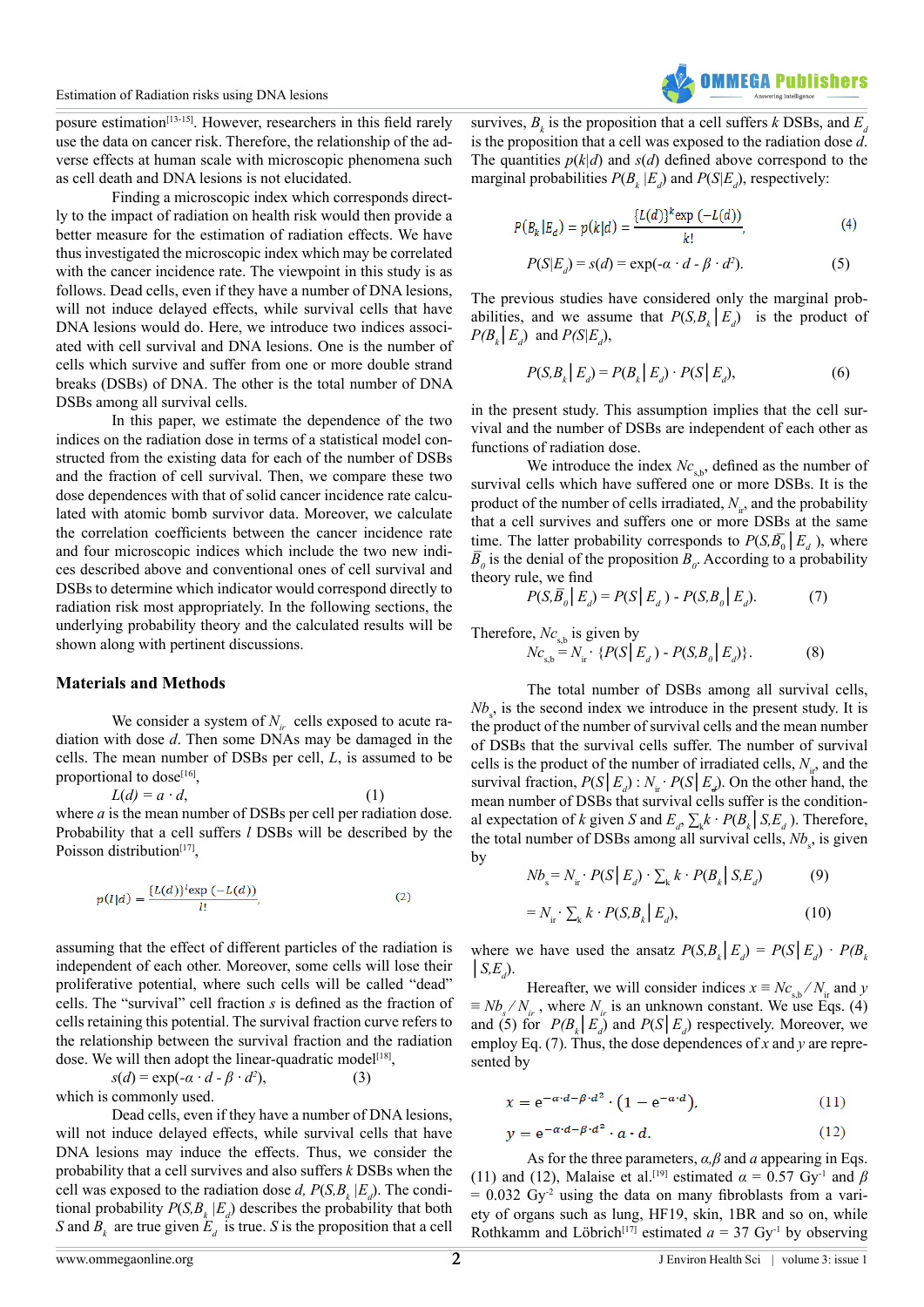posure estimation<sup>[13-15]</sup>. However, researchers in this field rarely use the data on cancer risk. Therefore, the relationship of the adverse effects at human scale with microscopic phenomena such as cell death and DNA lesions is not elucidated.

Finding a microscopic index which corresponds directly to the impact of radiation on health risk would then provide a better measure for the estimation of radiation effects. We have thus investigated the microscopic index which may be correlated with the cancer incidence rate. The viewpoint in this study is as follows. Dead cells, even if they have a number of DNA lesions, will not induce delayed effects, while survival cells that have DNA lesions would do. Here, we introduce two indices associated with cell survival and DNA lesions. One is the number of cells which survive and suffer from one or more double strand breaks (DSBs) of DNA. The other is the total number of DNA DSBs among all survival cells.

In this paper, we estimate the dependence of the two indices on the radiation dose in terms of a statistical model constructed from the existing data for each of the number of DSBs and the fraction of cell survival. Then, we compare these two dose dependences with that of solid cancer incidence rate calculated with atomic bomb survivor data. Moreover, we calculate the correlation coefficients between the cancer incidence rate and four microscopic indices which include the two new indices described above and conventional ones of cell survival and DSBs to determine which indicator would correspond directly to radiation risk most appropriately. In the following sections, the underlying probability theory and the calculated results will be shown along with pertinent discussions.

#### **Materials and Methods**

We consider a system of  $N_{ir}$  cells exposed to acute radiation with dose *d*. Then some DNAs may be damaged in the cells. The mean number of DSBs per cell, *L*, is assumed to be proportional to dose<sup>[\[16\]](#page-4-9)</sup>,

 $L(d) = a \cdot d,$  (1) where *a* is the mean number of DSBs per cell per radiation dose. Probability that a cell suffers *l* DSBs will be described by the Poisson distribution<sup>[\[17\]](#page-4-10)</sup>,

$$
p(l|d) = \frac{\{L(d)\}^l \exp\left(-L(d)\right)}{l!},\tag{2}
$$

assuming that the effect of different particles of the radiation is independent of each other. Moreover, some cells will lose their proliferative potential, where such cells will be called "dead" cells. The "survival" cell fraction *s* is defined as the fraction of cells retaining this potential. The survival fraction curve refers to the relationship between the survival fraction and the radiation dose. We will then adopt the linear-quadratic model<sup>[\[18\]](#page-4-11)</sup>,

$$
s(d) = \exp(-\alpha \cdot d - \beta \cdot d^2),
$$
  
which is commonly used. (3)

Dead cells, even if they have a number of DNA lesions, will not induce delayed effects, while survival cells that have DNA lesions may induce the effects. Thus, we consider the probability that a cell survives and also suffers *k* DSBs when the cell was exposed to the radiation dose *d*,  $P(S, B_k | E_d)$ . The conditional probability  $P(S, B_k | E_d)$  describes the probability that both *S* and  $B_k$  are true given  $E_d$  is true. *S* is the proposition that a cell

survives,  $B_k$  is the proposition that a cell suffers *k* DSBs, and  $E_a$ is the proposition that a cell was exposed to the radiation dose *d*. The quantities  $p(k|d)$  and  $s(d)$  defined above correspond to the marginal probabilities  $P(B_k | E_d)$  and  $P(S | E_d)$ , respectively:

$$
P(B_k | E_d) = p(k|d) = \frac{\{L(d)\}^k \exp(-L(d))}{k!},
$$
\n(4)

$$
P(S|Ed) = s(d) = \exp(-\alpha \cdot d - \beta \cdot d^2). \tag{5}
$$

The previous studies have considered only the marginal probabilities, and we assume that  $P(S, B_k | E_d)$  is the product of  $P(B_k | E_d)$  and  $P(S | E_d)$ ,

$$
P(S, Bk | Ed) = P(Bk | Ed) \cdot P(S | Ed),
$$
 (6)

in the present study. This assumption implies that the cell survival and the number of DSBs are independent of each other as functions of radiation dose.

We introduce the index  $Nc_{sb}$ , defined as the number of survival cells which have suffered one or more DSBs. It is the product of the number of cells irradiated,  $N_{i,j}$  and the probability that a cell survives and suffers one or more DSBs at the same time. The latter probability corresponds to  $P(S_i \overline{B}_0 | E_d)$ , where  $\overline{B}_0$  is the denial of the proposition  $B_0$ . According to a probability theory rule, we find

$$
P(S, \overline{B}_0 | E_d) = P(S | E_d) - P(S, B_0 | E_d).
$$
 (7)

Therefore,  $Nc_{s,b}$  is given by

 $Nc_{\rm s,b} = N_{\rm ir} \cdot \{P(S \mid E_d) - P(S, B_0 \mid E_d)\}.$  (8)

The total number of DSBs among all survival cells,  $Nb<sub>s</sub>$ , is the second index we introduce in the present study. It is the product of the number of survival cells and the mean number of DSBs that the survival cells suffer. The number of survival cells is the product of the number of irradiated cells,  $N_{ir}$ , and the survival fraction,  $P(S | E_d)$ :  $N_{\text{ir}} \cdot P(S | E_d)$ . On the other hand, the mean number of DSBs that survival cells suffer is the conditional expectation of *k* given *S* and  $E_a$ ,  $\sum_k k \cdot P(B_k | S, E_a)$ . Therefore, the total number of DSBs among all survival cells,  $Nb<sub>s</sub>$ , is given by

$$
Nb_s = N_{ir} \cdot P(S \mid E_d) \cdot \sum_k k \cdot P(B_k \mid S, E_d)
$$
 (9)

$$
=N_{ir}\cdot\sum_{k}k\cdot P(S,B_{k}|E_{d}), \qquad (10)
$$

where we have used the ansatz  $P(S, B_k | E_d) = P(S | E_d) \cdot P(B_k | S, E_d)$ .  $\mid S,E_{d}$ ).

Hereafter, we will consider indices  $x \equiv Nc_{sh}/N_{in}$  and *y*  $\equiv Nb_s/N_i$ , where  $N_i$  is an unknown constant. We use Eqs. (4) and (5) for  $P(B_k | E_d)$  and  $P(S | E_d)$  respectively. Moreover, we employ Eq. (7). Thus, the dose dependences of *x* and *y* are represented by

$$
x = e^{-\alpha \cdot d - \beta \cdot d^2} \cdot \left(1 - e^{-\alpha \cdot d}\right),\tag{11}
$$

$$
y = e^{-\alpha \cdot d - \beta \cdot d^2} \cdot a \cdot d. \tag{12}
$$

As for the three parameters, *α,β* and *a* appearing in Eqs. (11) and (12), Malaise et al.<sup>[\[19\]](#page-4-12)</sup> estimated  $\alpha = 0.57$  Gy<sup>-1</sup> and  $\beta$  $= 0.032 \text{ Gy}^2$  using the data on many fibroblasts from a variety of organs such as lung, HF19, skin, 1BR and so on, while Rothkamm and Löbrich<sup>[17]</sup> estimated  $a = 37 \text{ Gy}^{-1}$  by observing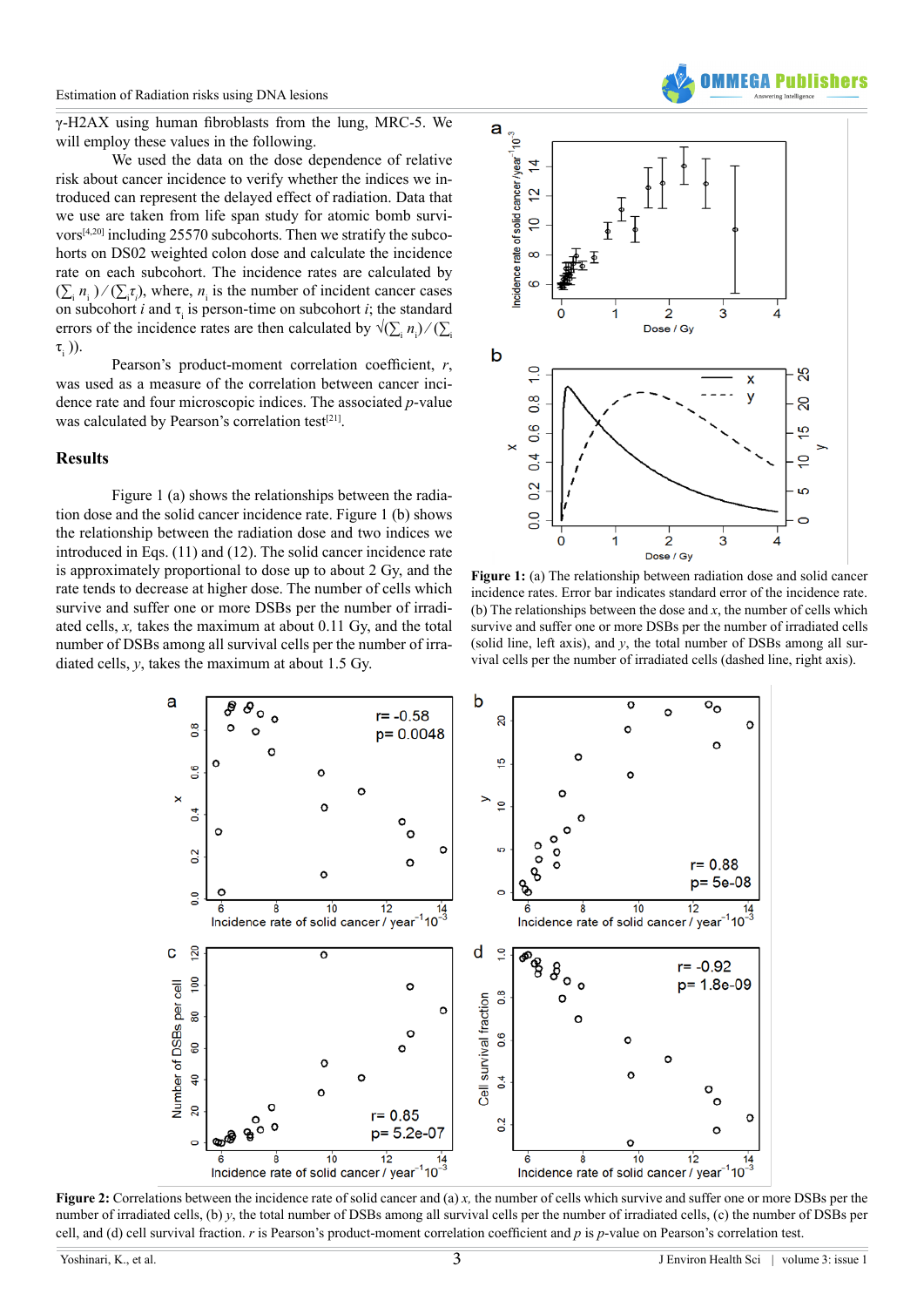γ-H2AX using human fibroblasts from the lung, MRC-5. We will employ these values in the following.

We used the data on the dose dependence of relative risk about cancer incidence to verify whether the indices we introduced can represent the delayed effect of radiation. Data that we use are taken from life span study for atomic bomb survivors $[4,20]$  including 25570 subcohorts. Then we stratify the subcohorts on DS02 weighted colon dose and calculate the incidence rate on each subcohort. The incidence rates are calculated by  $(\sum_i n_i)/(\sum_i \tau_i)$ , where,  $n_i$  is the number of incident cancer cases on subcohort *i* and  $\tau$ <sub>i</sub> is person-time on subcohort *i*; the standard errors of the incidence rates are then calculated by  $\sqrt{\sum_i n_i}/(\sum_i n_i)$  $\tau_{\epsilon}$  )).

Pearson's product-moment correlation coefficient, *r*, was used as a measure of the correlation between cancer incidence rate and four microscopic indices. The associated *p*-value was calculated by Pearson's correlation test<sup>[21]</sup>.

#### **Results**

Figure 1 (a) shows the relationships between the radiation dose and the solid cancer incidence rate. Figure 1 (b) shows the relationship between the radiation dose and two indices we introduced in Eqs. (11) and (12). The solid cancer incidence rate is approximately proportional to dose up to about 2 Gy, and the rate tends to decrease at higher dose. The number of cells which survive and suffer one or more DSBs per the number of irradiated cells, *x,* takes the maximum at about 0.11 Gy, and the total number of DSBs among all survival cells per the number of irradiated cells, *y*, takes the maximum at about 1.5 Gy.



**Figure 1:** (a) The relationship between radiation dose and solid cancer incidence rates. Error bar indicates standard error of the incidence rate. (b) The relationships between the dose and  $x$ , the number of cells which survive and suffer one or more DSBs per the number of irradiated cells (solid line, left axis), and *y*, the total number of DSBs among all survival cells per the number of irradiated cells (dashed line, right axis).



**Figure 2:** Correlations between the incidence rate of solid cancer and (a) *x,* the number of cells which survive and suffer one or more DSBs per the number of irradiated cells, (b) *y*, the total number of DSBs among all survival cells per the number of irradiated cells, (c) the number of DSBs per cell, and (d) cell survival fraction. *r* is Pearson's product-moment correlation coefficient and *p* is *p*-value on Pearson's correlation test.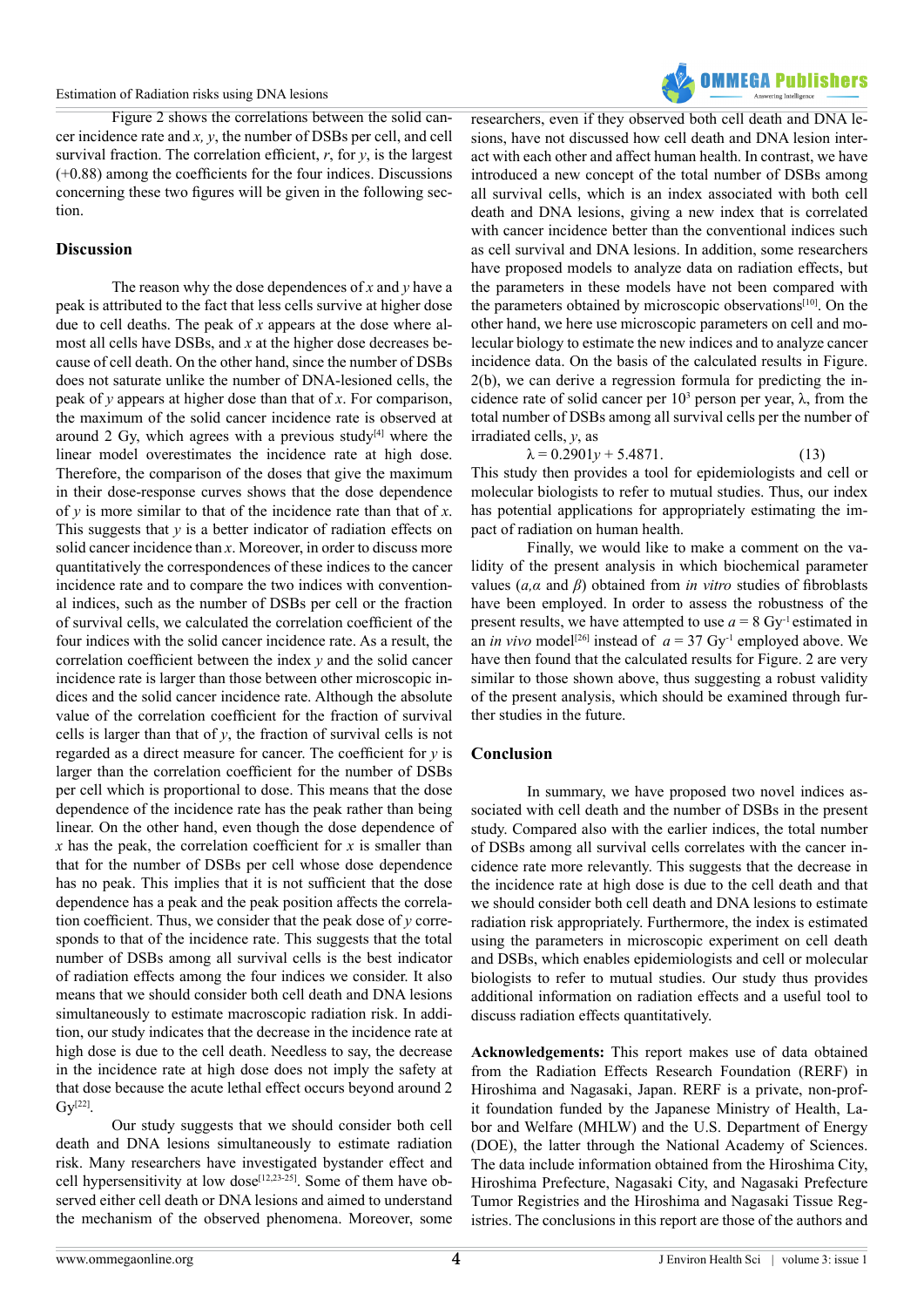

Figure 2 shows the correlations between the solid cancer incidence rate and *x, y*, the number of DSBs per cell, and cell survival fraction. The correlation efficient, *r*, for *y*, is the largest (+0.88) among the coefficients for the four indices. Discussions concerning these two figures will be given in the following section.

## **Discussion**

The reason why the dose dependences of *x* and *y* have a peak is attributed to the fact that less cells survive at higher dose due to cell deaths. The peak of *x* appears at the dose where almost all cells have DSBs, and *x* at the higher dose decreases because of cell death. On the other hand, since the number of DSBs does not saturate unlike the number of DNA-lesioned cells, the peak of *y* appears at higher dose than that of *x*. For comparison, the maximum of the solid cancer incidence rate is observed at around 2 Gy, which agrees with a previous study<sup>[4]</sup> where the linear model overestimates the incidence rate at high dose. Therefore, the comparison of the doses that give the maximum in their dose-response curves shows that the dose dependence of *y* is more similar to that of the incidence rate than that of *x*. This suggests that *y* is a better indicator of radiation effects on solid cancer incidence than *x*. Moreover, in order to discuss more quantitatively the correspondences of these indices to the cancer incidence rate and to compare the two indices with conventional indices, such as the number of DSBs per cell or the fraction of survival cells, we calculated the correlation coefficient of the four indices with the solid cancer incidence rate. As a result, the correlation coefficient between the index *y* and the solid cancer incidence rate is larger than those between other microscopic indices and the solid cancer incidence rate. Although the absolute value of the correlation coefficient for the fraction of survival cells is larger than that of *y*, the fraction of survival cells is not regarded as a direct measure for cancer. The coefficient for *y* is larger than the correlation coefficient for the number of DSBs per cell which is proportional to dose. This means that the dose dependence of the incidence rate has the peak rather than being linear. On the other hand, even though the dose dependence of *x* has the peak, the correlation coefficient for *x* is smaller than that for the number of DSBs per cell whose dose dependence has no peak. This implies that it is not sufficient that the dose dependence has a peak and the peak position affects the correlation coefficient. Thus, we consider that the peak dose of *y* corresponds to that of the incidence rate. This suggests that the total number of DSBs among all survival cells is the best indicator of radiation effects among the four indices we consider. It also means that we should consider both cell death and DNA lesions simultaneously to estimate macroscopic radiation risk. In addition, our study indicates that the decrease in the incidence rate at high dose is due to the cell death. Needless to say, the decrease in the incidence rate at high dose does not imply the safety at that dose because the acute lethal effect occurs beyond around 2  $Gv^{[22]}$ .

Our study suggests that we should consider both cell death and DNA lesions simultaneously to estimate radiation risk. Many researchers have investigated bystander effect and cell hypersensitivity at low dose<sup>[\[12,23-25\]](#page-4-15)</sup>. Some of them have observed either cell death or DNA lesions and aimed to understand the mechanism of the observed phenomena. Moreover, some

researchers, even if they observed both cell death and DNA lesions, have not discussed how cell death and DNA lesion interact with each other and affect human health. In contrast, we have introduced a new concept of the total number of DSBs among all survival cells, which is an index associated with both cell death and DNA lesions, giving a new index that is correlated with cancer incidence better than the conventional indices such as cell survival and DNA lesions. In addition, some researchers have proposed models to analyze data on radiation effects, but the parameters in these models have not been compared with the parameters obtained by microscopic observations<sup>[10]</sup>. On the other hand, we here use microscopic parameters on cell and molecular biology to estimate the new indices and to analyze cancer incidence data. On the basis of the calculated results in Figure. 2(b), we can derive a regression formula for predicting the incidence rate of solid cancer per  $10<sup>3</sup>$  person per year,  $\lambda$ , from the total number of DSBs among all survival cells per the number of irradiated cells, *y*, as

$$
\lambda = 0.2901y + 5.4871. \tag{13}
$$

This study then provides a tool for epidemiologists and cell or molecular biologists to refer to mutual studies. Thus, our index has potential applications for appropriately estimating the impact of radiation on human health.

Finally, we would like to make a comment on the validity of the present analysis in which biochemical parameter values (*a,α* and *β*) obtained from *in vitro* studies of fibroblasts have been employed. In order to assess the robustness of the present results, we have attempted to use  $a = 8$  Gy<sup>-1</sup> estimated in an *in vivo* model<sup>[26]</sup> instead of  $a = 37$  Gy<sup>-1</sup> employed above. We have then found that the calculated results for Figure. 2 are very similar to those shown above, thus suggesting a robust validity of the present analysis, which should be examined through further studies in the future.

#### **Conclusion**

In summary, we have proposed two novel indices associated with cell death and the number of DSBs in the present study. Compared also with the earlier indices, the total number of DSBs among all survival cells correlates with the cancer incidence rate more relevantly. This suggests that the decrease in the incidence rate at high dose is due to the cell death and that we should consider both cell death and DNA lesions to estimate radiation risk appropriately. Furthermore, the index is estimated using the parameters in microscopic experiment on cell death and DSBs, which enables epidemiologists and cell or molecular biologists to refer to mutual studies. Our study thus provides additional information on radiation effects and a useful tool to discuss radiation effects quantitatively.

**Acknowledgements:** This report makes use of data obtained from the Radiation Effects Research Foundation (RERF) in Hiroshima and Nagasaki, Japan. RERF is a private, non-profit foundation funded by the Japanese Ministry of Health, Labor and Welfare (MHLW) and the U.S. Department of Energy (DOE), the latter through the National Academy of Sciences. The data include information obtained from the Hiroshima City, Hiroshima Prefecture, Nagasaki City, and Nagasaki Prefecture Tumor Registries and the Hiroshima and Nagasaki Tissue Registries. The conclusions in this report are those of the authors and